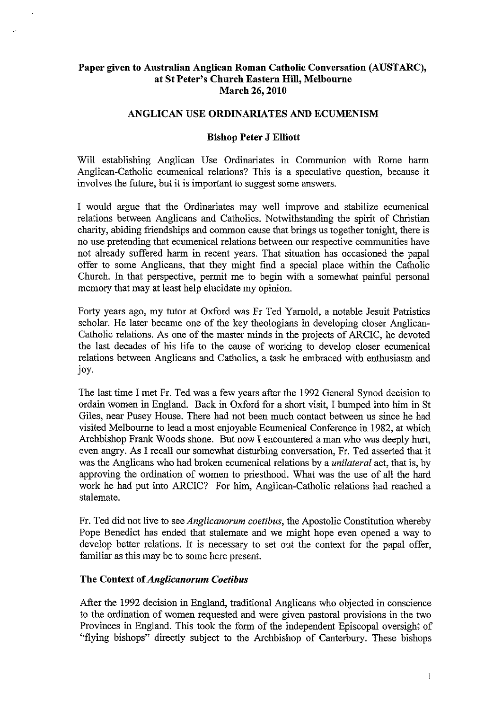# **Paper given to Australian Anglican Roman Catholic Conversation (AUSTARC), at StPeter's Church Eastern Hill, Melbourne March 26,2010**

### **ANGLICAN USE ORDINARIATES AND ECUMENISM**

#### **Bishop Peter J Elliott**

Will establishing Anglican Use Ordinariates in Communion with Rome harm Anglican-Catholic ecumenical relations? This is a speculative question, because it involves the future, but it is important to suggest some answers.

I would argue that the Ordinariates may well improve and stabilize ecumenical relations between Anglicans and Catholics. Notwithstanding the spirit of Christian charity, abiding friendships and common cause that brings us together tonight, there is no use pretending that ecumenical relations between our respective communities have not already suffered harm in recent years. That situation has occasioned the papal offer to some Anglicans, that they might fmd a special place within the Catholic Church. In that perspective, permit me to begin with a somewhat painful personal memory that may at least help elucidate my opinion.

Forty years ago, my tutor at Oxford was Fr Ted Yarnold, a notable Jesuit Patristics scholar. He later became one of the key theologians in developing closer Anglican-Catholic relations. As one of the master minds in the projects of ARCIC, he devoted the last decades of his life to the cause of working to develop closer ecumenical relations between Anglicans and Catholics, a task he embraced with enthusiasm and joy.

The last time I met Fr. Ted was a few years after the 1992 General Synod decision to ordain women in England. Back in Oxford for a short visit, I bumped into him in St Giles, near Pusey House. There had not been much contact between us since he had visited Melbourne to lead a most enjoyable Ecumenical Conference in 1982, at which Archbishop Frank Woods shone. But now I encountered a man who was deeply hurt, even angry. As I recall our somewhat disturbing conversation, Fr. Ted asserted that it was the Anglicans who had broken ecumenical relations by a *unilateral* act, that is, by approving the ordination of women to priesthood. What was the use of all the hard work he had put into ARCIC? For him, Anglican-Catholic relations had reached a stalemate.

Fr. Ted did not live to see *Anglicanorum coetibus,* the Apostolic Constitution whereby Pope Benedict has ended that stalemate and we might hope even opened a way to develop better relations. It is necessary to set out the context for the papal offer, familiar as this may be to some here present.

#### **The Context** *ofAnglicanorum Coetibus*

After the 1992 decision in England, traditional Anglicans who objected in conscience to the ordination of women requested and were given pastoral provisions in the two Provinces in England. This took the form of the independent Episcopal oversight of "flying bishops" directly subject to the Archbishop of Canterbury. These bishops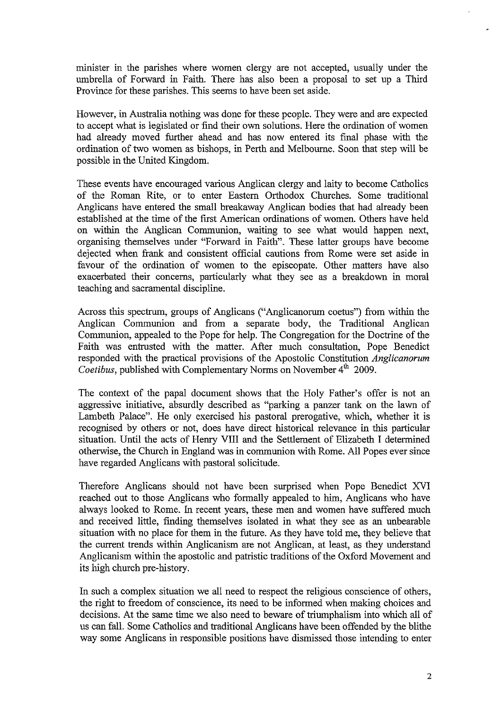minister in the parishes where women clergy are not accepted, usually under the umbrella of Forward in Faith. There has also been a proposal to set up a Third Province for these parishes. This seems to have been set aside.

However, in Australia nothing was done for these people. They were and are expected to accept what is legislated or find their own solutions. Here the ordination of women had already moved further ahead and has now entered its fmal phase with the ordination of two women as bishops, in Perth and Melbourne. Soon that step will be possible in the United Kingdom.

These events have encouraged various Anglican clergy and laity to become Catholics of the Roman Rite, or to enter Eastern Orthodox Churches. Some traditional Anglicans have entered the small breakaway Anglican bodies that had already been established at the time of the first American ordinations of women. Others have held on within the Anglican Communion, waiting to see what would happen next, organising themselves under "Forward in Faith". These latter groups have become dejected when frank and consistent official cautions from Rome were set aside in favour of the ordination of women to the episcopate. Other matters have also exacerbated their concerns, particularly what they see as a breakdown in moral teaching and sacramental discipline.

Across this spectrum, groups of Anglicans ("Anglicanorum coetus") from within the Anglican Communion and from a separate body, the Traditional Anglican Communion, appealed to the Pope for help. The Congregation for the Doctrine of the Faith was entrusted with the matter. After much consultation, Pope Benedict responded with the practical provisions of the Apostolic Constitution *Anglicanorum Coetibus, published with Complementary Norms on November 4<sup>th</sup> 2009.* 

The context of the papal document shows that the Holy Father's offer is not an aggressive initiative, absurdly described as "parking a panzer tank on the lawn of Lambeth Palace". He only exercised his pastoral prerogative, which, whether it is recognised by others or not, does have direct historical relevance in this particular situation. Until the acts of Henry VIII and the Settlement of Elizabeth I determined otherwise, the Church in England was in communion with Rome. All Popes ever since have regarded Anglicans with pastoral solicitude.

Therefore Anglicans should not have been surprised when Pope Benedict XVI reached out to those Anglicans who formally appealed to him, Anglicans who have always looked to Rome. In recent years, these men and women have suffered much and received little, finding themselves isolated in what they see as an unbearable situation with no place for them in the future. As they have told me, they believe that the current trends within Anglicanism are not Anglican, at least, as they understand Anglicanism within the apostolic and patristic traditions of the Oxford Movement and its high church pre-history.

In such a complex situation we all need to respect the religious conscience of others, the right to freedom of conscience, its need to be informed when making choices and decisions. At the same time we also need to beware of triumphalism into which all of us can fall. Some Catholics and traditional Anglicans have been offended by the blithe way some Anglicans in responsible positions have dismissed those intending to enter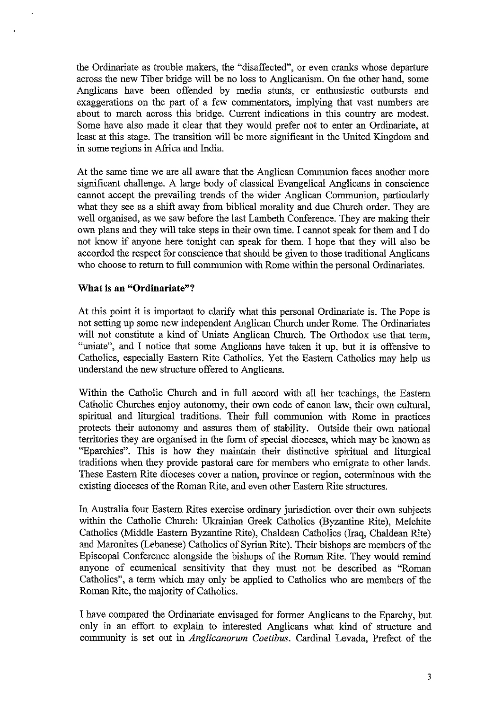the Ordinariate as trouble makers, the "disaffected", or even cranks whose departure across the new Tiber bridge will be no loss to Anglicanism. On the other hand, some Anglicans have been offended by media stunts, or enthusiastic outbursts and exaggerations on the part of a few commentators, implying that vast numbers are about to march across this bridge. Current indications in this country are modest. Some have also made it clear that they would prefer not to enter an Ordinariate, at least at this stage. The transition will be more significant in the United Kingdom and in some regions in Africa and India.

At the same time we are all aware that the Anglican Communion faces another more significant challenge. A large body of classical Evangelical Anglicans in conscience cannot accept the prevailing trends of the wider Anglican Communion, particularly what they see as a shift away from biblical morality and due Church order. They are well organised, as we saw before the last Lambeth Conference. They are making their own plans and they will take steps in their own time. I cannot speak for them and I do not know if anyone here tonight can speak for them. I hope that they will also be accorded the respect for conscience that should be given to those traditional Anglicans who choose to return to full communion with Rome within the personal Ordinariates.

## **What is an "Ordinariate"?**

At this point it is important to clarify what this personal Ordinariate is. The Pope is not setting up some new independent Anglican Church under Rome. The Ordinariates will not constitute a kind of Uniate Anglican Church. The Orthodox use that term, "uniate", and I notice that some Anglicans have taken it up, but it is offensive to Catholics, especially Eastern Rite Catholics. Yet the Eastern Catholics may help us understand the new structure offered to Anglicans.

Within the Catholic Church and in full accord with all her teachings, the Eastern Catholic Churches enjoy autonomy, their own code of canon law, their own cultural, spiritual and liturgical traditions. Their full communion with Rome in practices protects their autonomy and assures them of stability. Outside their own national territories they are organised in the form of special dioceses, which may be known as "Eparchies". This is how they maintain their distinctive spiritual and liturgical traditions when they provide pastoral care for members who emigrate to other lands. These Eastern Rite dioceses cover a nation, province or region, coterminous with the existing dioceses of the Roman Rite, and even other Eastern Rite structures.

In Australia four Eastern Rites exercise ordinary jurisdiction over their own subjects within the Catholic Church: Ukrainian Greek Catholics (Byzantine Rite), Melchite Catholics (Middle Eastern Byzantine Rite), Chaldean Catholics (Iraq, Chaldean Rite) and Maronites (Lebanese) Catholics of Syrian Rite). Their bishops are members of the Episcopal Conference alongside the bishops of the Roman Rite. They would remind anyone of ecumenical sensitivity that they must not be described as "Roman Catholics", a term which may only be applied to Catholics who are members of the Roman Rite, the majority of Catholics.

I have compared the Ordinariate envisaged for former Anglicans to the Eparchy, but only in an effort to explain to interested Anglicans what kind of structure and community is set out in *Anglicanorum Coetibus.* Cardinal Levada, Prefect of the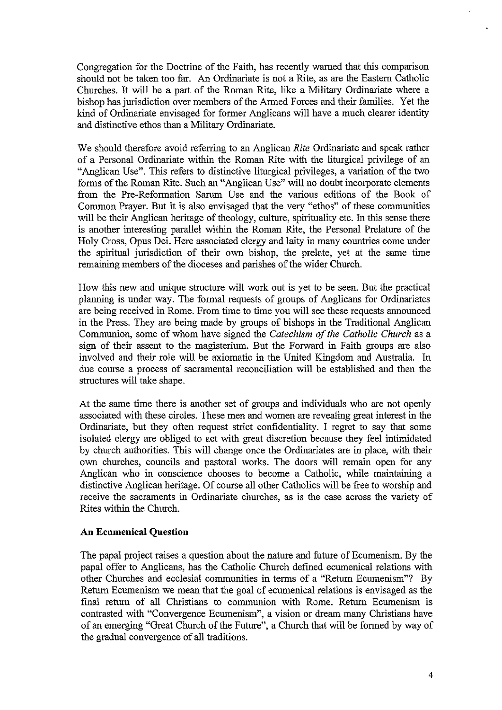Congregation for the Doctrine of the Faith, has recently warned that this comparison should not be taken too far. An Ordinariate is not a Rite, as are the Eastern Catholic Churches. It will be a part of the Roman Rite, like a Military Ordinariate where a bishop has jurisdiction over members of the Armed Forces and their families. Yet the kind of Ordinariate envisaged for former Anglicans will have a much clearer identity and distinctive ethos than a Military Ordinariate.

We should therefore avoid referring to an Anglican *Rite* Ordinariate and speak rather of a Personal Ordinariate within the Roman Rite with the liturgical privilege of an "Anglican Use". This refers to distinctive liturgical privileges, a variation of the two forms of the Roman Rite. Such an "Anglican Use" will no doubt incorporate elements from the Pre-Reformation Sarum Use and the various editions of the Book of Common Prayer. But it is also envisaged that the very "ethos" of these communities will be their Anglican heritage of theology, culture, spirituality etc. In this sense there is another interesting parallel within the Roman Rite, the Personal Prelature of the Holy Cross, Opus Dei. Here associated clergy and laity in many countries come under the spiritual jurisdiction of their own bishop, the prelate, yet at the same time remaining members of the dioceses and parishes of the wider Church.

How this new and unique structure will work out is yet to be seen. But the practical planning is under way. The formal requests of groups of Anglicans for Ordinariates are being received in Rome. From time to time you will see these requests announced in the Press. They are being made by groups of bishops in the Traditional Anglican Communion, some of whom have signed the *Catechism of the Catholic Church* as a sign of their assent to the magisterium. But the Forward in Faith groups are also involved and their role will be axiomatic in the United Kingdom and Australia. In due course a process of sacramental reconciliation will be established and then the structures will take shape.

At the same time there is another set of groups and individuals who are not openly associated with these circles. These men and women are revealing great interest in the Ordinariate, but they often request strict confidentiality. I regret to say that some isolated clergy are obliged to act with great discretion because they feel intimidated by church authorities. This will change once the Ordinariates are in place, with their own churches, councils and pastoral works. The doors will remain open for any Anglican who in conscience chooses to become a Catholic, while maintaining a distinctive Anglican heritage. Of course all other Catholics will be free to worship and receive the sacraments in Ordinariate churches, as is the case across the variety of Rites within the Church.

## **An Ecumenical Question**

The papal project raises a question about the nature and future of Ecumenism. By the papal offer to Anglicans, has the Catholic Church defined ecumenical relations with other Churches and ecclesial communities in terms of a "Return Ecumenism"? By Return Ecumenism we mean that the goal of ecumenical relations is envisaged as the final return of all Christians to communion with Rome. Return Ecumenism is contrasted with "Convergence Ecumenism", a vision or dream many Christians have of an emerging "Great Church of the Future", a Church that will be formed by way of the gradual convergence of all traditions.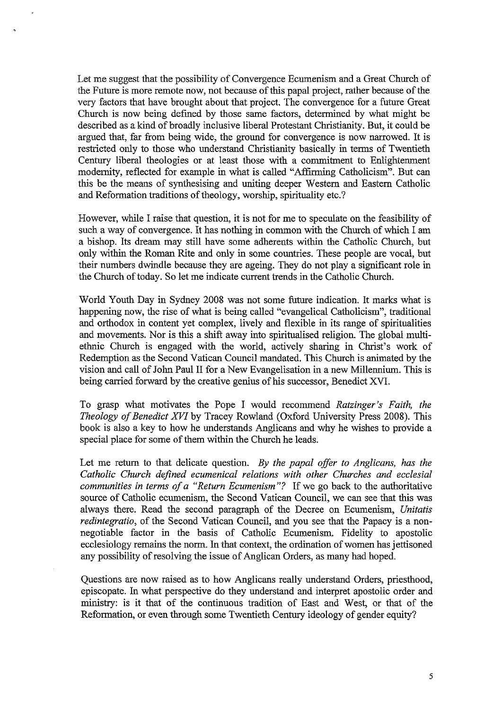Let me suggest that the possibility of Convergence Ecumenism and a Great Church of the Future is more remote now, not because of this papal project, rather because of the very factors that have brought about that project. The convergence for a future Great Church is now being defmed by those same factors, determined by what might be described as a kind of broadly inclusive liberal Protestant Christianity. But, it could be argued that, far from being wide, the ground for convergence is now narrowed. It is restricted only to those who understand Christianity basically in terms of Twentieth Century liberal theologies or at least those with a commitment to Enlightenment modemity, reflected for example in what is called "Affirming Catholicism". But can this be the means of synthesising and uniting deeper Westem and Eastem Catholic and Reformation traditions of theology, worship, spirituality etc.?

However, while I raise that question, it is not for me to speculate on the feasibility of such a way of convergence. It has nothing in common with the Church of which I am a bishop. Its dream may still have some adherents within the Catholic Church, but only within the Roman Rite and only in some countries. These people are vocal, but their numbers dwindle because they are ageing. They do not play a significant role in the Church of today. So let me indicate current trends in the Catholic Church.

World Youth Day in Sydney 2008 was not some future indication. It marks what is happening now, the rise of what is being called "evangelical Catholicism", traditional and orthodox in content yet complex, lively and flexible in its range of spiritualities and movements. Nor is this a shift away into spiritualised religion. The global multiethnic Church is engaged with the world, actively sharing in Christ's work of Redemption as the Second Vatican Council mandated. This Church is animated by the vision and call of John Paul II for a New Evangelisation in a new Millennium. This is being carried forward by the creative genius of his successor, Benedict XVI.

To grasp what motivates the Pope I would recommend *Ratzinger's Faith, the Theology of Benedict XVI* by Tracey Rowland (Oxford University Press 2008). This book is also a key to how he understands Anglicans and why he wishes to provide a special place for some of them within the Church he leads.

Let me retum to that delicate question. *By the papal offer to Anglicans, has the Catholic Church defined ecumenical relations with other Churches and ecclesial communities in terms of a "Return Ecumenism "?* If we go back to the authoritative source of Catholic ecumenism, the Second Vatican Council, we can see that this was always there. Read the second paragraph of the Decree on Ecumenism, *Unitatis redintegratio,* of the Second Vatican Council, and you see that the Papacy is a nonnegotiable factor in the basis of Catholic Ecumenism. Fidelity to apostolic ecclesiology remains the norm. In that context, the ordination of women has jettisoned any possibility of resolving the issue of Anglican Orders, as many had hoped.

Questions are now raised as to how Anglicans really understand Orders, priesthood, episcopate. In what perspective do they understand and interpret apostolic order and ministry: is it that of the continuous tradition of East and West, or that of the Reformation, or even through some Twentieth Century ideology of gender equity?